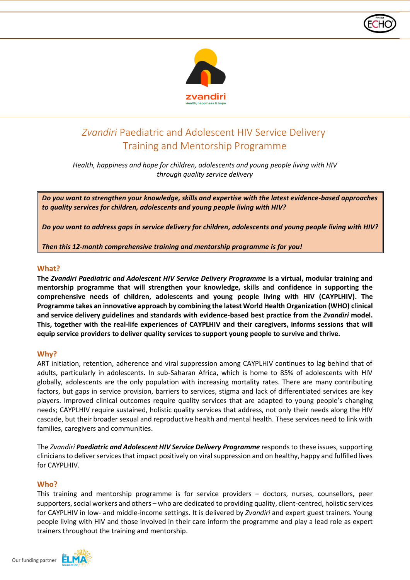

# *Zvandiri* Paediatric and Adolescent HIV Service Delivery Training and Mentorship Programme

*Health, happiness and hope for children, adolescents and young people living with HIV through quality service delivery*

*Do you want to strengthen your knowledge, skills and expertise with the latest evidence-based approaches to quality services for children, adolescents and young people living with HIV?*

*Do you want to address gaps in service delivery for children, adolescents and young people living with HIV?*

*Then this 12-month comprehensive training and mentorship programme is for you!*

## **What?**

**The** *Zvandiri Paediatric and Adolescent HIV Service Delivery Programme* **is a virtual, modular training and mentorship programme that will strengthen your knowledge, skills and confidence in supporting the comprehensive needs of children, adolescents and young people living with HIV (CAYPLHIV). The Programme takes an innovative approach by combining the latest World Health Organization (WHO) clinical and service delivery guidelines and standards with evidence-based best practice from the** *Zvandiri* **model. This, together with the real-life experiences of CAYPLHIV and their caregivers, informs sessions that will equip service providers to deliver quality services to support young people to survive and thrive.**

### **Why?**

ART initiation, retention, adherence and viral suppression among CAYPLHIV continues to lag behind that of adults, particularly in adolescents. In sub-Saharan Africa, which is home to 85% of adolescents with HIV globally, adolescents are the only population with increasing mortality rates. There are many contributing factors, but gaps in service provision, barriers to services, stigma and lack of differentiated services are key players. Improved clinical outcomes require quality services that are adapted to young people's changing needs; CAYPLHIV require sustained, holistic quality services that address, not only their needs along the HIV cascade, but their broader sexual and reproductive health and mental health. These services need to link with families, caregivers and communities.

The *Zvandiri Paediatric and Adolescent HIV Service Delivery Programme* responds to these issues, supporting clinicians to deliver services that impact positively on viral suppression and on healthy, happy and fulfilled lives for CAYPLHIV.

### **Who?**

This training and mentorship programme is for service providers – doctors, nurses, counsellors, peer supporters, social workers and others – who are dedicated to providing quality, client-centred, holistic services for CAYPLHIV in low- and middle-income settings. It is delivered by *Zvandiri* and expert guest trainers. Young people living with HIV and those involved in their care inform the programme and play a lead role as expert trainers throughout the training and mentorship.